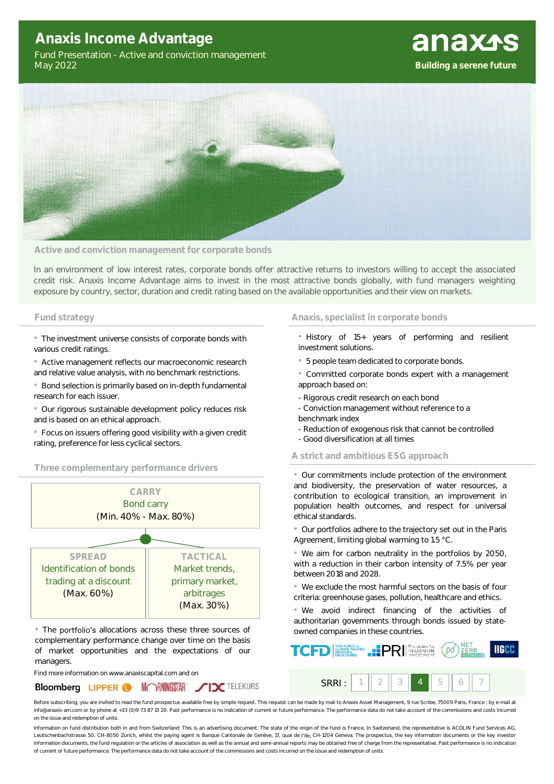# **Anaxis Income Advantage**

Fund Presentation - Active and conviction management May 2022





#### **Active and conviction management for corporate bonds**

In an environment of low interest rates, corporate bonds offer attractive returns to investors willing to accept the associated credit risk. Anaxis Income Advantage aims to invest in the most attractive bonds globally, with fund managers weighting exposure by country, sector, duration and credit rating based on the available opportunities and their view on markets.

• The investment universe consists of corporate bonds with various credit ratings.

• Active management reflects our macroeconomic research and relative value analysis, with no benchmark restrictions.

• Bond selection is primarily based on in-depth fundamental research for each issuer.

• Our rigorous sustainable development policy reduces risk and is based on an ethical approach.

• Focus on issuers offering good visibility with a given credit rating, preference for less cyclical sectors.

### **Three complementary performance drivers**



• The portfolio's allocations across these three sources of complementary performance change over time on the basis of market opportunities and the expectations of our managers.

Find more information on www.anaxiscapital.com and on



#### **Fund strategy Anaxis, specialist in corporate bonds**

- History of 15+ years of performing and resilient investment solutions.
- 5 people team dedicated to corporate bonds.

• Committed corporate bonds expert with a management approach based on:

- Rigorous credit research on each bond
- Conviction management without reference to a benchmark index
- Reduction of exogenous risk that cannot be controlled
- Good diversification at all times
- **A strict and ambitious ESG approach**

• Our commitments include protection of the environment and biodiversity, the preservation of water resources, a contribution to ecological transition, an improvement in population health outcomes, and respect for universal ethical standards.

• Our portfolios adhere to the trajectory set out in the Paris Agreement, limiting global warming to 1.5 °C.

• We aim for carbon neutrality in the portfolios by 2050, with a reduction in their carbon intensity of 7.5% per year between 2018 and 2028.

• We exclude the most harmful sectors on the basis of four criteria: greenhouse gases, pollution, healthcare and ethics.

• We avoid indirect financing of the activities of authoritarian governments through bonds issued by stateowned companies in these countries.



Before subscribing, you are invited to read the fund prospectus available free by simple request. This request can be made by mail to Anaxis Asset Management, 9 rue Scribe, 75009 Paris, France ; by e-mail at info@anaxis-am.com or by phone at +33 (0)9 73 87 13 20. Past performance is no indication of current or future performance. The performance data do not take account of the commissions and costs incurred on the issue and redemption of units.

Information on fund distribution both in and from Switzerland: This is an advertising document. The state of the origin of the fund is France. In Switzerland, the representative is ACOLIN Fund Services AG, Leutschenbachstrasse 50, CH-8050 Zurich, whilst the paying agent is Banque Cantonale de Genève, 17, quai de l'lle, CH-1204 Geneva. The prospectus, the key information documents or the key investor information documents, the fund regulation or the articles of association as well as the annual and semi-annual reports may be obtained free of charge from the representative. Past performance is no indication of current or future performance. The performance data do not take account of the commissions and costs incurred on the issue and redemption of units.